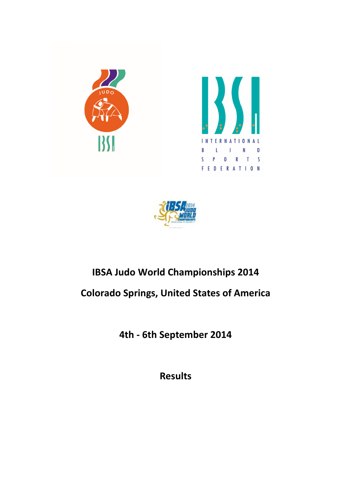





#### IBSA Judo World Championships 2014 Colorado Springs, United States of America

4th - 6th September 2014

Results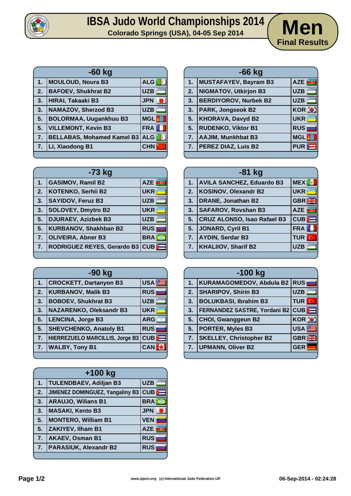

## **IBSA** Judo World Championships 2014 / Men



| $-60$ kg |                                   |            |
|----------|-----------------------------------|------------|
| 1.       | <b>MOULOUD, Noura B3</b>          | ALG &      |
| 2.       | <b>BAFOEV, Shukhrat B2</b>        | <b>UZB</b> |
| 3.       | HIRAI, Takaaki B3                 | <b>JPN</b> |
| 3.       | <b>NAMAZOV, Sherzod B3</b>        | <b>UZB</b> |
| 5.       | <b>BOLORMAA, Uugankhuu B3</b>     | <b>MGL</b> |
| 5.       | <b>VILLEMONT, Kevin B3</b>        | <b>FRA</b> |
| 7.       | <b>BELLABAS, Mohamed Kamel B3</b> | <b>ALG</b> |
| 7.       | LI, Xiaodong B1                   | <b>CHN</b> |
|          |                                   |            |

| 1. | MUSTAFAYEV, Bayram B3        | AZE<br>ince. |
|----|------------------------------|--------------|
| 2. | NIGMATOV, Utkirjon B3        | <b>UZB</b>   |
| 3. | <b>BERDIYOROV, Nurbek B2</b> | <b>UZB</b>   |
| 3. | <b>PARK, Jongseok B2</b>     | KOR O        |
| 5. | <b>KHORAVA, Davyd B2</b>     | <b>UKR</b>   |
| 5. | <b>RUDENKO, Viktor B1</b>    | <b>RUS</b>   |
| 7. | <b>AAJIM, Munkhbat B3</b>    | <b>MGL</b>   |
|    | 7. PEREZ DIAZ, Luis B2       | <b>PUR</b>   |
|    |                              |              |

**-66 kg**

| $-73$ kg         |                              |            |
|------------------|------------------------------|------------|
| 1.               | <b>GASIMOV, Ramil B2</b>     | <b>AZE</b> |
| 2.               | <b>KOTENKO, Serhii B2</b>    | <b>UKR</b> |
| 3.               | <b>SAYIDOV, Feruz B3</b>     | <b>UZB</b> |
| 3.               | <b>SOLOVEY, Dmytro B2</b>    | <b>UKR</b> |
| 5.               | <b>DJURAEV, Azizbek B3</b>   | <b>UZB</b> |
| 5.               | <b>KURBANOV, Shakhban B2</b> | <b>RUS</b> |
| $\overline{7}$ . | <b>OLIVEIRA, Abner B3</b>    | <b>BRA</b> |
| 7.               | RODRIGUEZ REYES, Gerardo B3  | $CUB$      |
|                  |                              |            |

| -90 kg |                                        |                  |
|--------|----------------------------------------|------------------|
| 1.     | <b>CROCKETT, Dartanyon B3</b>          | USA <sup>®</sup> |
| 2.     | <b>KURBANOV, Malik B3</b>              | <b>RUS</b>       |
| 3.     | <b>BOBOEV, Shukhrat B3</b>             | <b>UZB</b>       |
| 3.     | <b>NAZARENKO, Oleksandr B3</b>         | <b>UKR</b>       |
| 5.     | <b>LENCINA, Jorge B3</b>               | <b>ARG</b>       |
| 5.     | <b>SHEVCHENKO, Anatoly B1</b>          | <b>RUS</b>       |
| 7.     | <b>HIERREZUELO MARCILLIS, Jorge B3</b> | CUB              |
| 7.     | <b>WALBY, Tony B1</b>                  | <b>CAN</b>       |
|        |                                        |                  |

| $+100$ kg |                                        |                              |
|-----------|----------------------------------------|------------------------------|
| 1.        | <b>TULENDBAEV, Adiljan B3</b>          | UZB                          |
| 2.        | <b>JIMENEZ DOMINGUEZ, Yangaliny B3</b> | $CUB$ $\equiv$               |
| 3.        | <b>ARAUJO, Wilians B1</b>              | <b>BRAK</b>                  |
| 3.        | <b>MASAKI, Kento B3</b>                | <b>JPN</b>                   |
| 5.        | <b>MONTERO, William B1</b>             | <b>VEN</b>                   |
| 5.        | ZAKIYEV, Ilham B1                      | <b>AZE</b><br>$\overline{G}$ |
| 7.        | <b>AKAEV, Osman B1</b>                 | <b>RUS</b>                   |
| 7.        | <b>PARASIUK, Alexandr B2</b>           | <b>RUS</b>                   |
|           |                                        |                              |

| $-81$ kg       |                                    |              |
|----------------|------------------------------------|--------------|
| 1.             | <b>AVILA SANCHEZ, Eduardo B3</b>   | <b>MEX</b>   |
| 2.             | <b>KOSINOV, Olexandr B2</b>        | <b>UKR</b>   |
| 3.             | <b>DRANE, Jonathan B2</b>          | <b>GBREE</b> |
| 3.             | <b>SAFAROV, Rovshan B3</b>         | inc.<br>AZE  |
| 5 <sub>1</sub> | <b>CRUZ ALONSO, Isao Rafael B3</b> | <b>CUB</b>   |
| 5.             | JONARD, Cyril B1                   | <b>FRA</b>   |
| 7.             | <b>AYDIN, Serdar B3</b>            | <b>TUR</b> C |
| 7.             | <b>KHALIIOV, Sharif B2</b>         | <b>UZB</b>   |

| $-100$ kg |                                          |              |
|-----------|------------------------------------------|--------------|
| 1.        | KURAMAGOMEDOV, Abdula B2 RUS             |              |
| 2.        | <b>SHARIPOV, Shirin B3</b>               | <b>UZB</b>   |
| 3.        | <b>BOLUKBASI, Ibrahim B3</b>             | <b>TUR</b> C |
| 3.        | <b>FERNANDEZ SASTRE, Yordani B2 CUBD</b> |              |
| 5.        | <b>CHOI, Gwanggeun B2</b>                | <b>KOR O</b> |
| 5.        | <b>PORTER, Myles B3</b>                  | <b>USA</b>   |
| 7.        | <b>SKELLEY, Christopher B2</b>           | <b>GBR</b>   |
| 7.        | <b>UPMANN, Oliver B2</b>                 | <b>GER</b>   |
|           |                                          |              |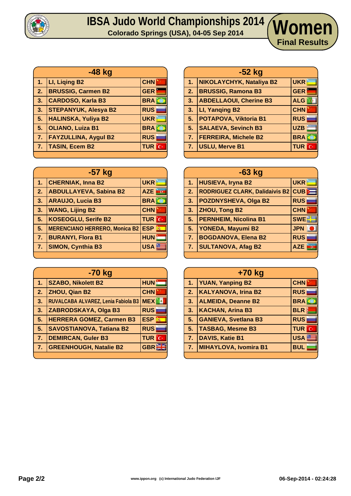

### **IBSA Judo World Championships 2014 Colorado Springs (USA), 04-05 Sep 2014 Women**

|                | -48 kg                      |              |
|----------------|-----------------------------|--------------|
| 1 <sub>1</sub> | LI, Liging B2               | <b>CHN</b>   |
| 2.             | <b>BRUSSIG, Carmen B2</b>   | <b>GER</b>   |
| 3.             | <b>CARDOSO, Karla B3</b>    | <b>BRA</b>   |
| 3.             | <b>STEPANYUK, Alesya B2</b> | <b>RUS</b>   |
| 5.             | <b>HALINSKA, Yuliya B2</b>  | <b>UKR</b>   |
| 5 <sub>1</sub> | <b>OLIANO, Luiza B1</b>     | <b>BRA</b>   |
| 7 <sub>1</sub> | <b>FAYZULLINA, Aygul B2</b> | <b>RUS</b>   |
| 7.             | <b>TASIN, Ecem B2</b>       | <b>TUR</b> C |
|                |                             |              |

| -57 kg         |                                          |                  |
|----------------|------------------------------------------|------------------|
| 1.             | <b>CHERNIAK, Inna B2</b>                 | <b>UKR</b>       |
| 2.             | <b>ABDULLAYEVA, Sabina B2</b>            | <b>AZE</b>       |
| 3 <sub>1</sub> | <b>ARAUJO, Lucia B3</b>                  | <b>BRAKE</b>     |
| 3.             | <b>WANG, Lijing B2</b>                   | <b>CHN</b>       |
| 5.             | <b>KOSEOGLU, Serife B2</b>               | <b>TUR</b> C     |
| 5.             | <b>MERENCIANO HERRERO, Monica B2 ESP</b> | $\vec{m}$        |
| 7.             | <b>BURANYI, Flora B1</b>                 | <b>HUN</b>       |
| 7.             | <b>SIMON, Cynthia B3</b>                 | USA <sup>®</sup> |
|                |                                          |                  |

| -70 kg |                                     |                 |
|--------|-------------------------------------|-----------------|
| $1-$   | <b>SZABO, Nikolett B2</b>           | <b>HUN</b>      |
| 2.     | ZHOU, Qian B2                       | <b>CHN</b>      |
| 3.     | RUVALCABA ALVAREZ, Lenia Fabiola B3 | <b>MEX</b>      |
| 3.     | ZABRODSKAYA, Olga B3                | <b>RUS</b>      |
| 5.     | <b>HERRERA GOMEZ, Carmen B3</b>     | <b>ESP</b><br>燕 |
| 5.     | <b>SAVOSTIANOVA, Tatiana B2</b>     | <b>RUS</b>      |
| 7.     | <b>DEMIRCAN, Guler B3</b>           | <b>TUR</b> C    |
| 7.     | <b>GREENHOUGH, Natalie B2</b>       | GBR             |
|        |                                     |                 |

| $-52$ kg         |                               |                         |
|------------------|-------------------------------|-------------------------|
| 1 <sub>1</sub>   | NIKOLAYCHYK, Nataliya B2      | <b>UKR</b>              |
| $\overline{2}$ . | <b>BRUSSIG, Ramona B3</b>     | <b>GER</b>              |
| 3.               | <b>ABDELLAOUI, Cherine B3</b> | <b>ALG</b>              |
| 3.               | LI, Yanging B2                | <b>CHN</b>              |
| 5.               | POTAPOVA, Viktoria B1         | <b>RUS</b>              |
| 5 <sub>1</sub>   | <b>SALAEVA, Sevinch B3</b>    | <b>UZB</b>              |
| 7.               | <b>FERREIRA, Michele B2</b>   | <b>BRA</b>              |
| 7.               | <b>USLU, Merve B1</b>         | <b>TUR</b><br><b>IC</b> |
|                  |                               |                         |

**Final Results**

| $-63$ kg |                                       |            |
|----------|---------------------------------------|------------|
| 1.       | <b>HUSIEVA, Iryna B2</b>              | <b>UKR</b> |
| 2.       | <b>RODRIGUEZ CLARK, Dalidaivis B2</b> | CUB        |
| 3.       | <b>POZDNYSHEVA, Olga B2</b>           | <b>RUS</b> |
| 3.       | <b>ZHOU, Tong B2</b>                  | <b>CHN</b> |
| 5.       | <b>PERNHEIM, Nicolina B1</b>          | <b>SWE</b> |
| 5.       | YONEDA, Mayumi B2                     | <b>JPN</b> |
| 7.       | <b>BOGDANOVA, Elena B2</b>            | <b>RUS</b> |
| 7.       | <b>SULTANOVA, Afag B2</b>             | <b>AZE</b> |
|          |                                       |            |

|                | +70 kg                      |                  |
|----------------|-----------------------------|------------------|
| 1.             | <b>YUAN, Yanping B2</b>     | <b>CHN</b>       |
| 2.             | <b>KALYANOVA, Irina B2</b>  | <b>RUS</b>       |
| 3.             | <b>ALMEIDA, Deanne B2</b>   | <b>BRA</b>       |
| 3.             | <b>KACHAN, Arina B3</b>     | <b>BLR</b>       |
| 5.             | <b>GANIEVA, Svetlana B3</b> | <b>RUS</b>       |
| 5 <sub>1</sub> | <b>TASBAG, Mesme B3</b>     | <b>TUR</b> C     |
| 7.             | <b>DAVIS, Katie B1</b>      | USA <sup>S</sup> |
| 7.             | MIHAYLOVA, Ivomira B1       | <b>BUL</b>       |
|                |                             |                  |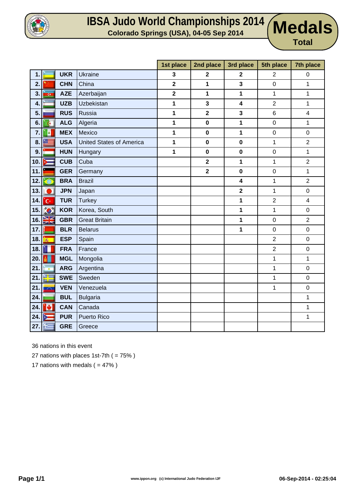

#### **IBSA Judo World Championships** 2014 **Medals**

**Medals** 

|     |                |            |                                 | 1st place               | 2nd place    | 3rd place               | 5th place        | 7th place               |
|-----|----------------|------------|---------------------------------|-------------------------|--------------|-------------------------|------------------|-------------------------|
| 1.  |                | <b>UKR</b> | <b>Ukraine</b>                  | 3                       | $\mathbf{2}$ | $\mathbf 2$             | $\overline{2}$   | $\boldsymbol{0}$        |
| 2.  |                | <b>CHN</b> | China                           | $\overline{\mathbf{2}}$ | 1            | 3                       | $\mathbf 0$      | 1                       |
| 3.  | Œ              | <b>AZE</b> | Azerbaijan                      | $\mathbf 2$             | 1            | 1                       | 1                | $\mathbf{1}$            |
| 4.  |                | <b>UZB</b> | Uzbekistan                      | 1                       | $\mathbf{3}$ | 4                       | $\overline{2}$   | 1                       |
| 5.  |                | <b>RUS</b> | Russia                          | 1                       | $\mathbf{2}$ | 3                       | $\,6$            | 4                       |
| 6.  | $\mathbf G$    | <b>ALG</b> | Algeria                         | 1                       | $\pmb{0}$    | 1                       | $\mathbf 0$      | 1                       |
| 7.  | a              | <b>MEX</b> | Mexico                          | 1                       | $\bf{0}$     | 1                       | $\mathbf 0$      | $\pmb{0}$               |
| 8.  |                | <b>USA</b> | <b>United States of America</b> | 1                       | $\mathbf 0$  | $\mathbf 0$             | 1                | $\overline{2}$          |
| 9.  |                | <b>HUN</b> | Hungary                         | 1                       | $\pmb{0}$    | $\pmb{0}$               | $\boldsymbol{0}$ | $\mathbf{1}$            |
| 10. |                | <b>CUB</b> | Cuba                            |                         | $\mathbf{2}$ | 1                       | 1                | $\overline{c}$          |
| 11  |                | <b>GER</b> | Germany                         |                         | $\mathbf{2}$ | 0                       | $\mathbf 0$      | 1                       |
| 12. |                | <b>BRA</b> | <b>Brazil</b>                   |                         |              | $\overline{\mathbf{4}}$ | 1                | $\overline{2}$          |
| 13. |                | <b>JPN</b> | Japan                           |                         |              | $\mathbf 2$             | 1                | $\pmb{0}$               |
| 14. | $\mathbf{C}^*$ | <b>TUR</b> | <b>Turkey</b>                   |                         |              | 1                       | $\overline{2}$   | $\overline{\mathbf{4}}$ |
| 15. | <b>O</b>       | <b>KOR</b> | Korea, South                    |                         |              | 1                       | $\mathbf 1$      | 0                       |
| 16. | XK             | <b>GBR</b> | <b>Great Britain</b>            |                         |              | 1                       | $\pmb{0}$        | $\overline{2}$          |
| 17. |                | <b>BLR</b> | <b>Belarus</b>                  |                         |              | 1                       | $\mathbf 0$      | $\mathbf 0$             |
| 18. |                | <b>ESP</b> | Spain                           |                         |              |                         | $\overline{2}$   | $\pmb{0}$               |
| 18. |                | <b>FRA</b> | France                          |                         |              |                         | $\boldsymbol{2}$ | $\pmb{0}$               |
| 20. |                | <b>MGL</b> | Mongolia                        |                         |              |                         | $\mathbf 1$      | $\mathbf{1}$            |
| 21  | $\blacksquare$ | <b>ARG</b> | Argentina                       |                         |              |                         | 1                | $\pmb{0}$               |
| 21. | ш              | <b>SWE</b> | Sweden                          |                         |              |                         | 1                | $\pmb{0}$               |
| 21. | <b>PANE</b>    | <b>VEN</b> | Venezuela                       |                         |              |                         | 1                | $\boldsymbol{0}$        |
| 24. |                | <b>BUL</b> | <b>Bulgaria</b>                 |                         |              |                         |                  | $\mathbf{1}$            |
| 24. | Ø              | <b>CAN</b> | Canada                          |                         |              |                         |                  | $\mathbf{1}$            |
| 24. | b.             | <b>PUR</b> | <b>Puerto Rico</b>              |                         |              |                         |                  | 1                       |
| 27. | 能              | <b>GRE</b> | Greece                          |                         |              |                         |                  |                         |

36 nations in this event

27 nations with places 1st-7th ( = 75% )

17 nations with medals  $( = 47\%)$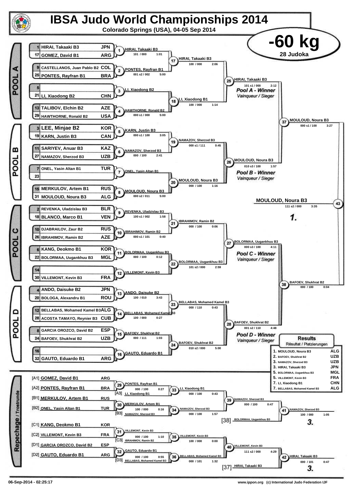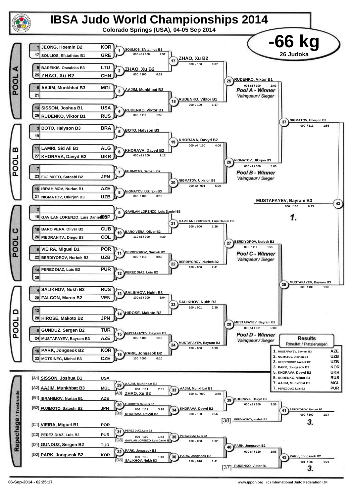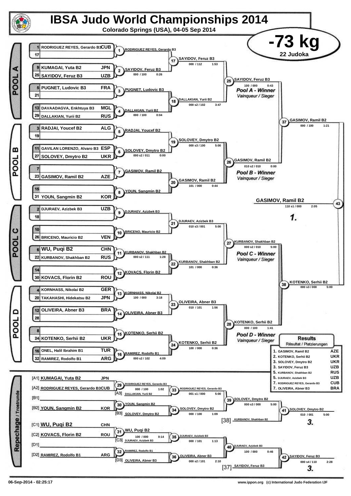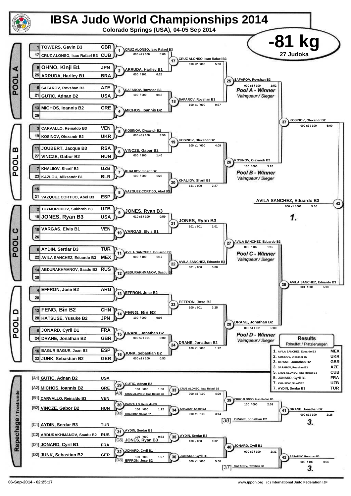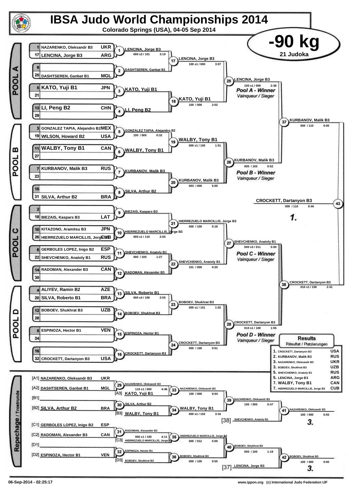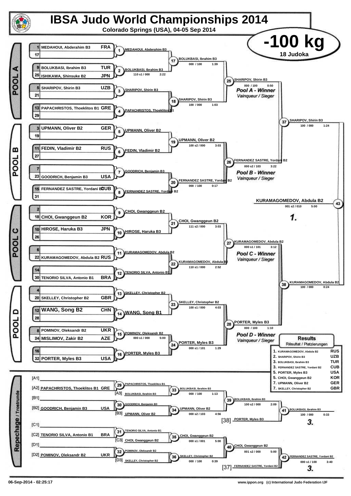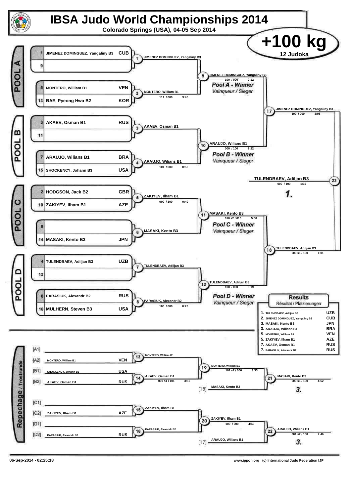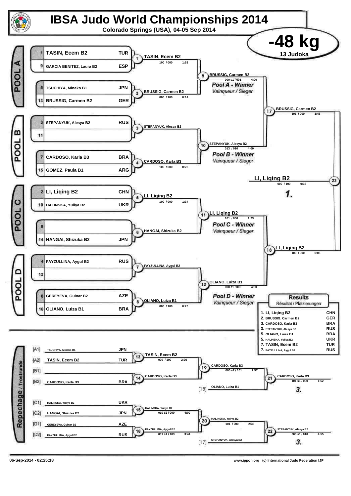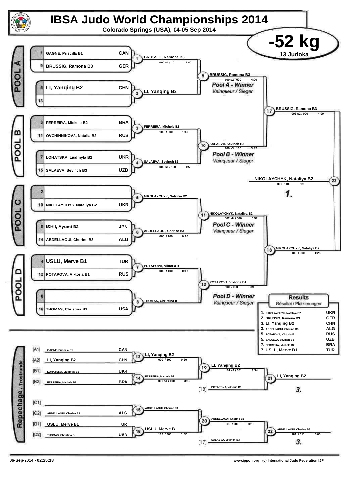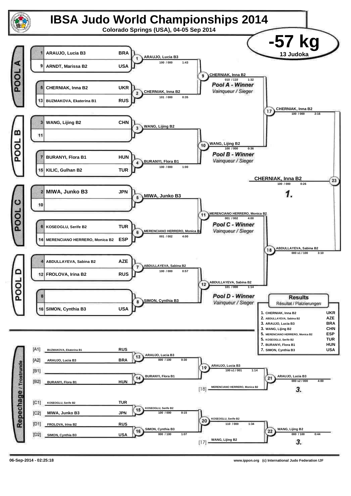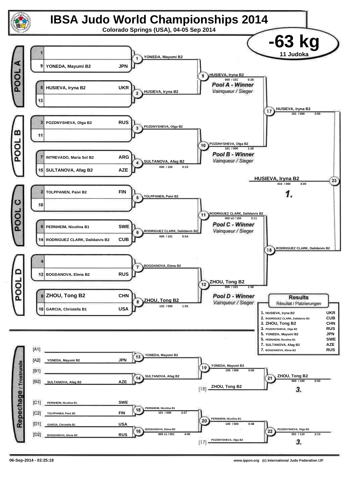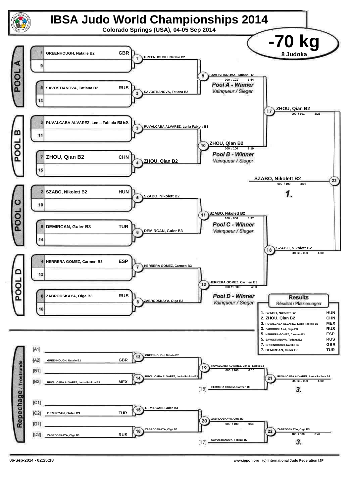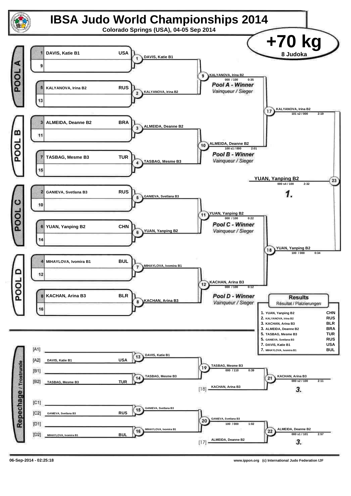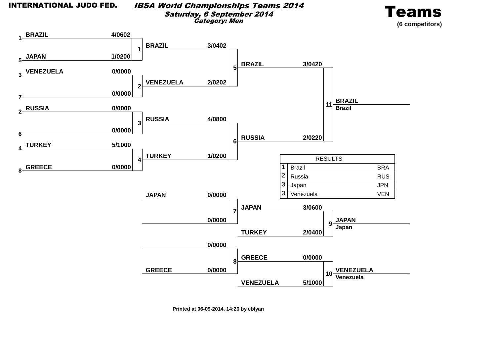#### IBSA World Championships Teams 2014Saturday, 6 September 2014Category: Men





**Printed at 06-09-2014, 14:26 by eblyan**